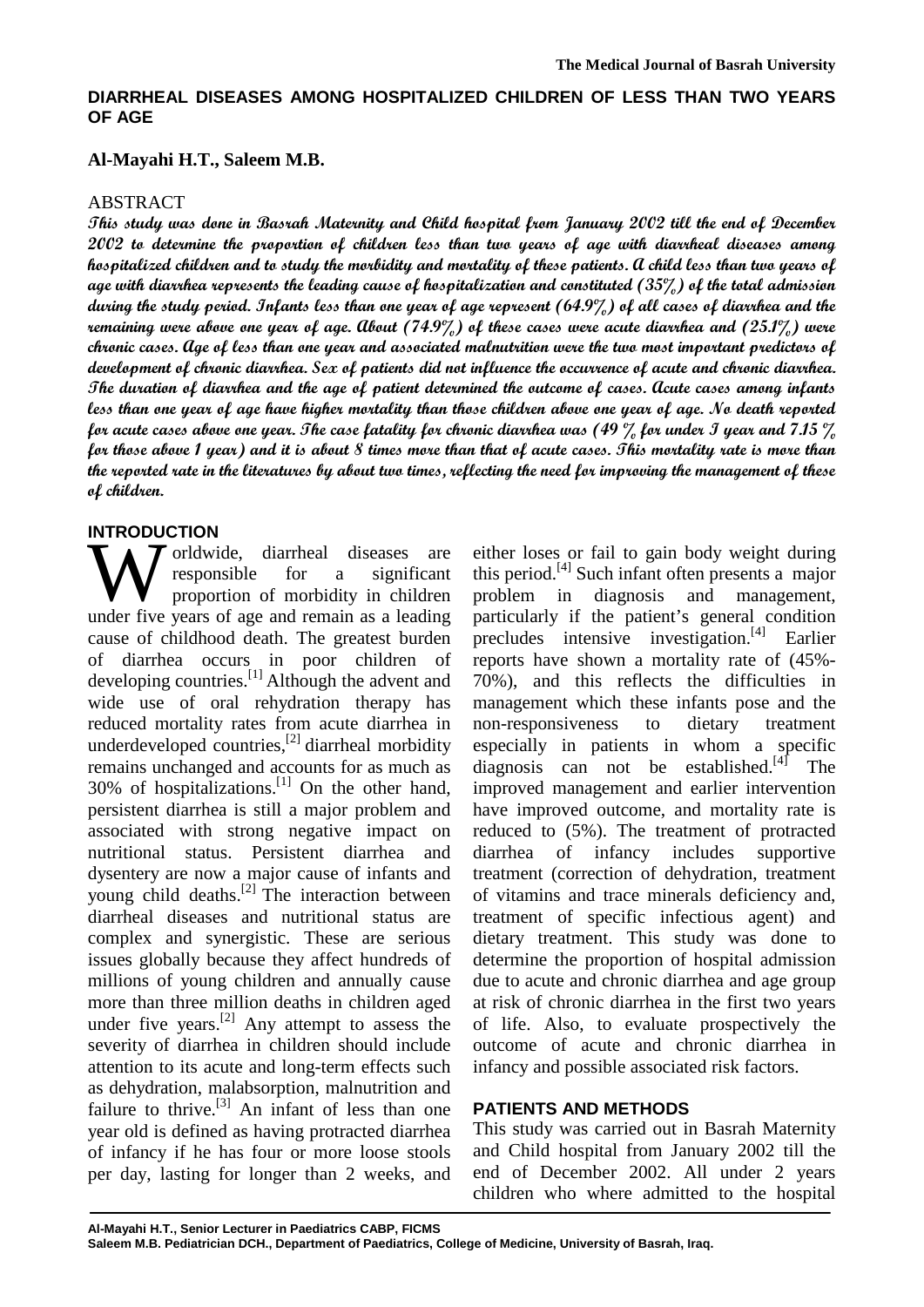# **DIARRHEAL DISEASES AMONG HOSPITALIZED CHILDREN OF LESS THAN TWO YEARS OF AGE**

#### **Al-Mayahi H.T., Saleem M.B.**

#### ABSTRACT

**This study was done in Basrah Maternity and Child hospital from January 2002 till the end of December 2002 to determine the proportion of children less than two years of age with diarrheal diseases among hospitalized children and to study the morbidity and mortality of these patients. A child less than two years of age with diarrhea represents the leading cause of hospitalization and constituted (35%) of the total admission during the study period. Infants less than one year of age represent (64.9%) of all cases of diarrhea and the remaining were above one year of age. About (74.9%) of these cases were acute diarrhea and (25.1%) were chronic cases. Age of less than one year and associated malnutrition were the two most important predictors of development of chronic diarrhea. Sex of patients did not influence the occurrence of acute and chronic diarrhea. The duration of diarrhea and the age of patient determined the outcome of cases. Acute cases among infants less than one year of age have higher mortality than those children above one year of age. No death reported for acute cases above one year. The case fatality for chronic diarrhea was (49 % for under I year and 7.15 % for those above 1 year) and it is about 8 times more than that of acute cases. This mortality rate is more than the reported rate in the literatures by about two times, reflecting the need for improving the management of these of children.** 

#### **INTRODUCTION**

orldwide, diarrheal diseases are responsible for a significant proportion of morbidity in children W orldwide, diarrheal diseases are<br>responsible for a significant<br>under five years of age and remain as a leading cause of childhood death. The greatest burden of diarrhea occurs in poor children of developing countries.<sup>[1]</sup> Although the advent and wide use of oral rehydration therapy has reduced mortality rates from acute diarrhea in underdeveloped countries,<sup>[2]</sup> diarrheal morbidity remains unchanged and accounts for as much as 30% of hospitalizations. [1] On the other hand, persistent diarrhea is still a major problem and associated with strong negative impact on nutritional status. Persistent diarrhea and dysentery are now a major cause of infants and young child deaths.<sup>[2]</sup> The interaction between diarrheal diseases and nutritional status are complex and synergistic. These are serious issues globally because they affect hundreds of millions of young children and annually cause more than three million deaths in children aged under five years.<sup>[2]</sup> Any attempt to assess the severity of diarrhea in children should include attention to its acute and long-term effects such as dehydration, malabsorption, malnutrition and failure to thrive. $^{[3]}$  An infant of less than one year old is defined as having protracted diarrhea of infancy if he has four or more loose stools per day, lasting for longer than 2 weeks, and

either loses or fail to gain body weight during this period. [4] Such infant often presents a major problem in diagnosis and management, particularly if the patient's general condition precludes intensive investigation. [4] Earlier reports have shown a mortality rate of (45%- 70%), and this reflects the difficulties in management which these infants pose and the non-responsiveness to dietary treatment especially in patients in whom a specific diagnosis can not be established.<sup>[4]</sup> The improved management and earlier intervention have improved outcome, and mortality rate is reduced to (5%). The treatment of protracted diarrhea of infancy includes supportive treatment (correction of dehydration, treatment of vitamins and trace minerals deficiency and, treatment of specific infectious agent) and dietary treatment. This study was done to determine the proportion of hospital admission due to acute and chronic diarrhea and age group at risk of chronic diarrhea in the first two years of life. Also, to evaluate prospectively the outcome of acute and chronic diarrhea in infancy and possible associated risk factors.

#### **PATIENTS AND METHODS**

This study was carried out in Basrah Maternity and Child hospital from January 2002 till the end of December 2002. All under 2 years children who where admitted to the hospital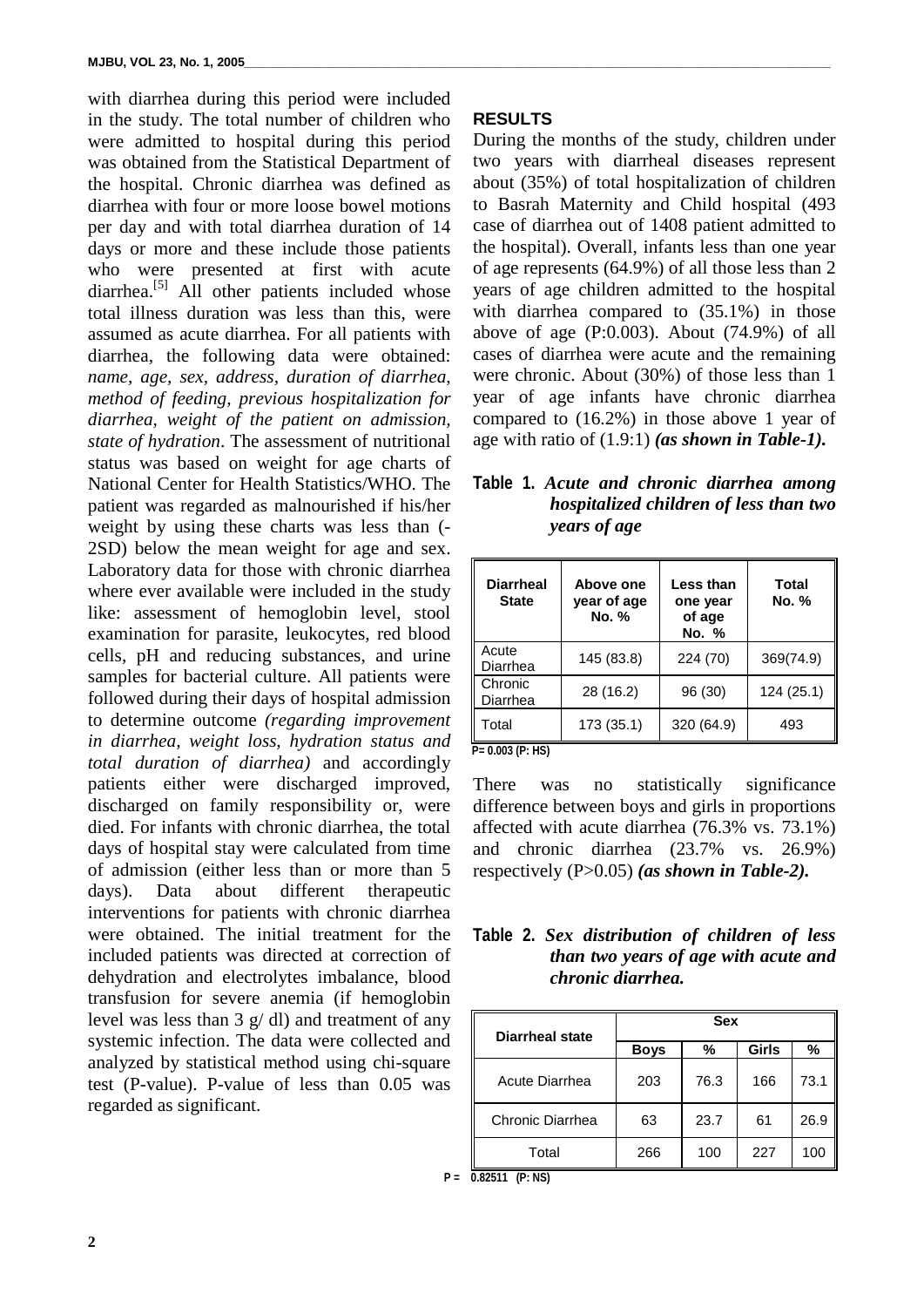with diarrhea during this period were included in the study. The total number of children who were admitted to hospital during this period was obtained from the Statistical Department of the hospital. Chronic diarrhea was defined as diarrhea with four or more loose bowel motions per day and with total diarrhea duration of 14 days or more and these include those patients who were presented at first with acute diarrhea.<sup>[5]</sup> All other patients included whose total illness duration was less than this, were assumed as acute diarrhea. For all patients with diarrhea, the following data were obtained: *name, age, sex, address, duration of diarrhea, method of feeding, previous hospitalization for diarrhea, weight of the patient on admission, state of hydration*. The assessment of nutritional status was based on weight for age charts of National Center for Health Statistics/WHO. The patient was regarded as malnourished if his/her weight by using these charts was less than (- 2SD) below the mean weight for age and sex. Laboratory data for those with chronic diarrhea where ever available were included in the study like: assessment of hemoglobin level, stool examination for parasite, leukocytes, red blood cells, pH and reducing substances, and urine samples for bacterial culture. All patients were followed during their days of hospital admission to determine outcome *(regarding improvement in diarrhea, weight loss, hydration status and total duration of diarrhea)* and accordingly patients either were discharged improved, discharged on family responsibility or, were died. For infants with chronic diarrhea, the total days of hospital stay were calculated from time of admission (either less than or more than 5 days). Data about different therapeutic interventions for patients with chronic diarrhea were obtained. The initial treatment for the included patients was directed at correction of dehydration and electrolytes imbalance, blood transfusion for severe anemia (if hemoglobin level was less than 3 g/ dl) and treatment of any systemic infection. The data were collected and analyzed by statistical method using chi-square test (P-value). P-value of less than 0.05 was regarded as significant.

#### **RESULTS**

During the months of the study, children under two years with diarrheal diseases represent about (35%) of total hospitalization of children to Basrah Maternity and Child hospital (493 case of diarrhea out of 1408 patient admitted to the hospital). Overall, infants less than one year of age represents (64.9%) of all those less than 2 years of age children admitted to the hospital with diarrhea compared to  $(35.1\%)$  in those above of age (P:0.003). About (74.9%) of all cases of diarrhea were acute and the remaining were chronic. About (30%) of those less than 1 year of age infants have chronic diarrhea compared to (16.2%) in those above 1 year of age with ratio of (1.9:1) *(as shown in Table-1).*

**Table 1.** *Acute and chronic diarrhea among hospitalized children of less than two years of age*

| <b>Diarrheal</b><br><b>State</b> | Above one<br>year of age<br>No. % | Less than<br>one year<br>of age<br>No. % | Total<br>No. % |  |
|----------------------------------|-----------------------------------|------------------------------------------|----------------|--|
| Acute<br>Diarrhea                | 145 (83.8)                        | 224 (70)                                 | 369(74.9)      |  |
| Chronic<br>Diarrhea              | 28 (16.2)                         | 96 (30)                                  | 124(25.1)      |  |
| Total                            | 173 (35.1)                        | 320 (64.9)                               | 493            |  |

 **P= 0.003 (P: HS)**

There was no statistically significance difference between boys and girls in proportions affected with acute diarrhea (76.3% vs. 73.1%) and chronic diarrhea (23.7% vs. 26.9%) respectively (P>0.05) *(as shown in Table-2).*

### **Table 2.** *Sex distribution of children of less than two years of age with acute and chronic diarrhea.*

| <b>Diarrheal state</b> | <b>Sex</b>  |      |              |      |  |  |
|------------------------|-------------|------|--------------|------|--|--|
|                        | <b>Boys</b> | ℅    | <b>Girls</b> | %    |  |  |
| Acute Diarrhea         | 203         | 76.3 | 166          | 73.1 |  |  |
| Chronic Diarrhea       | 63          | 23.7 | 61           | 26.9 |  |  |
| Total                  | 266         | 100  | 227          | 10C  |  |  |

**P = 0.82511 (P: NS)**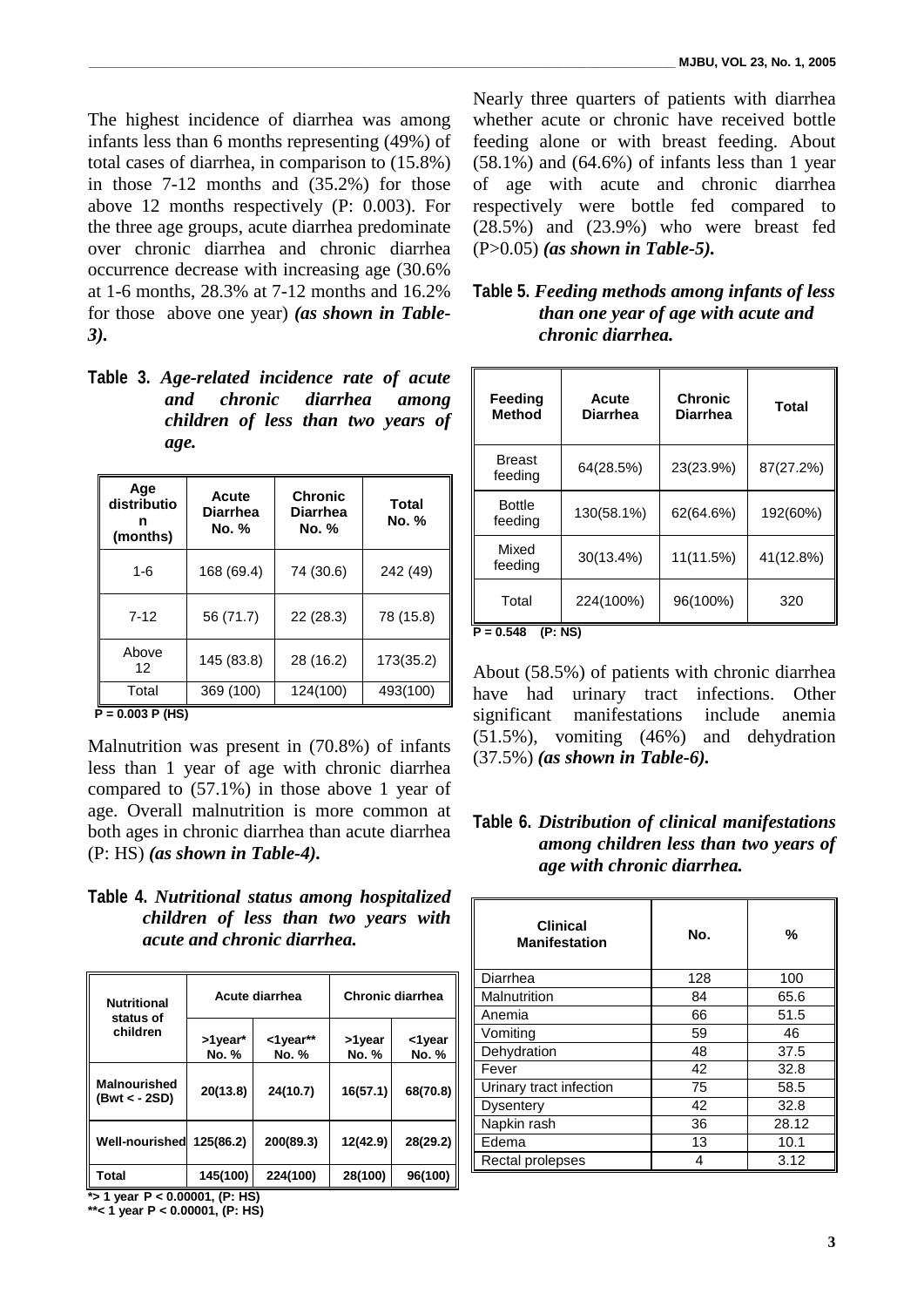The highest incidence of diarrhea was among infants less than 6 months representing (49%) of total cases of diarrhea, in comparison to (15.8%) in those 7-12 months and (35.2%) for those above 12 months respectively (P: 0.003). For the three age groups, acute diarrhea predominate over chronic diarrhea and chronic diarrhea occurrence decrease with increasing age (30.6% at 1-6 months, 28.3% at 7-12 months and 16.2% for those above one year) *(as shown in Table-3).*

**Table 3.** *Age-related incidence rate of acute and chronic diarrhea among children of less than two years of age.*

| Age<br>distributio<br>n<br>(months) | Acute<br><b>Diarrhea</b><br>No. % | <b>Chronic</b><br><b>Diarrhea</b><br><b>No.</b> % | <b>Total</b><br>No. % |
|-------------------------------------|-----------------------------------|---------------------------------------------------|-----------------------|
| $1 - 6$                             | 168 (69.4)                        | 74 (30.6)                                         | 242 (49)              |
| $7 - 12$                            | 56 (71.7)                         | 22 (28.3)                                         | 78 (15.8)             |
| Above<br>12                         | 145 (83.8)                        | 28 (16.2)                                         | 173(35.2)             |
| Total                               | 369 (100)                         | 124(100)                                          | 493(100)              |

**P = 0.003 P (HS)**

Malnutrition was present in (70.8%) of infants less than 1 year of age with chronic diarrhea compared to (57.1%) in those above 1 year of age. Overall malnutrition is more common at both ages in chronic diarrhea than acute diarrhea (P: HS) *(as shown in Table-4).* 

**Table 4.** *Nutritional status among hospitalized children of less than two years with acute and chronic diarrhea.*

| <b>Nutritional</b><br>status of                          | Acute diarrhea                       |                              | Chronic diarrhea |                 |
|----------------------------------------------------------|--------------------------------------|------------------------------|------------------|-----------------|
| children                                                 | >1year*<br>No. %                     | $<$ 1 year**<br><b>No. %</b> | >1 year<br>No. % | <1year<br>No. % |
| <b>Malnourished</b><br>(Bwt < - 2SD)                     | 20(13.8)                             | 24(10.7)                     | 16(57.1)         | 68(70.8)        |
| <b>Well-nourished</b>                                    | 125(86.2)                            | 200(89.3)                    | 12(42.9)         | 28(29.2)        |
| Total<br>$\star$ $\star$ $\star$ $\star$ $\star$ $\star$ | 145(100)<br><b>D.</b> 0.0004 (D. HO) | 224(100)                     | 28(100)          | 96(100)         |

**\*> 1 year P < 0.00001, (P: HS) \*\*< 1 year P < 0.00001, (P: HS)** Nearly three quarters of patients with diarrhea whether acute or chronic have received bottle feeding alone or with breast feeding. About  $(58.1\%)$  and  $(64.6\%)$  of infants less than 1 year of age with acute and chronic diarrhea respectively were bottle fed compared to (28.5%) and (23.9%) who were breast fed (P>0.05) *(as shown in Table-5).* 

| Table 5. Feeding methods among infants of less |  |
|------------------------------------------------|--|
| than one year of age with acute and            |  |
| chronic diarrhea.                              |  |

| Feeding<br>Method        | Acute<br>Diarrhea | <b>Chronic</b><br><b>Diarrhea</b> | Total     |  |  |  |  |
|--------------------------|-------------------|-----------------------------------|-----------|--|--|--|--|
| Breast<br>feeding        | 64(28.5%)         | 23(23.9%)                         | 87(27.2%) |  |  |  |  |
| <b>Bottle</b><br>feeding | 130(58.1%)        | 62(64.6%)                         | 192(60%)  |  |  |  |  |
| Mixed<br>feeding         | 30(13.4%)         | 11(11.5%)                         | 41(12.8%) |  |  |  |  |
| 224(100%)<br>Total       |                   | 96(100%)                          | 320       |  |  |  |  |
| (P: NS)<br>$P = 0.548$   |                   |                                   |           |  |  |  |  |

About (58.5%) of patients with chronic diarrhea have had urinary tract infections. Other significant manifestations include anemia (51.5%), vomiting (46%) and dehydration (37.5%) *(as shown in Table-6).*

### **Table 6.** *Distribution of clinical manifestations among children less than two years of age with chronic diarrhea.*

| <b>Clinical</b><br><b>Manifestation</b> | No. | %     |
|-----------------------------------------|-----|-------|
| Diarrhea                                | 128 | 100   |
| Malnutrition                            | 84  | 65.6  |
| Anemia                                  | 66  | 51.5  |
| Vomiting                                | 59  | 46    |
| Dehydration                             | 48  | 37.5  |
| Fever                                   | 42  | 32.8  |
| Urinary tract infection                 | 75  | 58.5  |
| <b>Dysentery</b>                        | 42  | 32.8  |
| Napkin rash                             | 36  | 28.12 |
| Edema                                   | 13  | 10.1  |
| Rectal prolepses                        | 4   | 3.12  |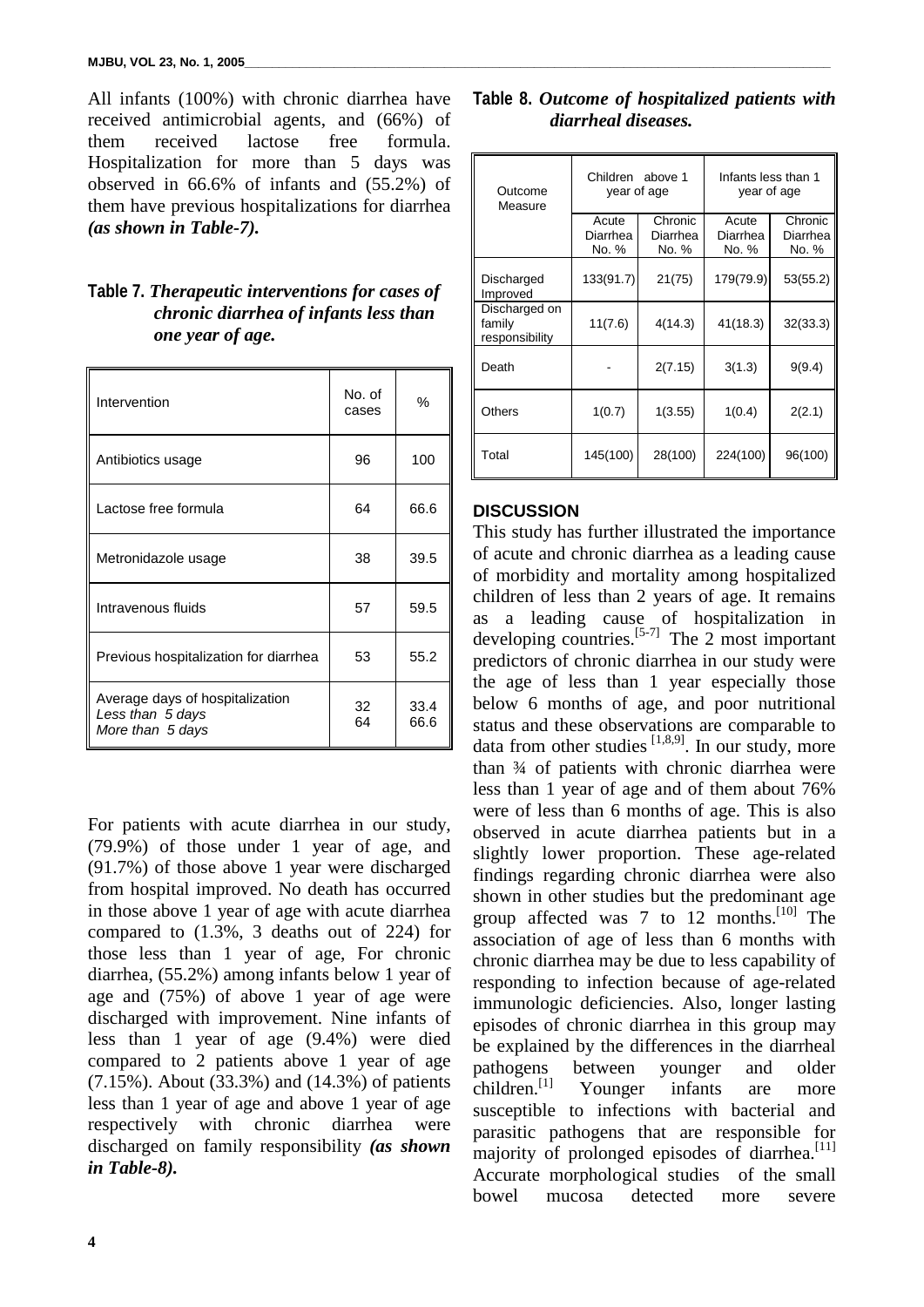All infants (100%) with chronic diarrhea have received antimicrobial agents, and (66%) of them received lactose free formula. Hospitalization for more than 5 days was observed in 66.6% of infants and (55.2%) of them have previous hospitalizations for diarrhea *(as shown in Table-7).*

# **Table 7.** *Therapeutic interventions for cases of chronic diarrhea of infants less than one year of age.*

| Intervention                                                            | No. of<br>cases | %            |
|-------------------------------------------------------------------------|-----------------|--------------|
| Antibiotics usage                                                       | 96              | 100          |
| Lactose free formula                                                    | 64              | 66.6         |
| Metronidazole usage                                                     | 38              | 39.5         |
| Intravenous fluids                                                      | 57              | 59.5         |
| Previous hospitalization for diarrhea                                   | 53              | 55.2         |
| Average days of hospitalization<br>Less than 5 days<br>More than 5 days | 32<br>64        | 33.4<br>66.6 |

For patients with acute diarrhea in our study, (79.9%) of those under 1 year of age, and (91.7%) of those above 1 year were discharged from hospital improved. No death has occurred in those above 1 year of age with acute diarrhea compared to (1.3%, 3 deaths out of 224) for those less than 1 year of age, For chronic diarrhea, (55.2%) among infants below 1 year of age and (75%) of above 1 year of age were discharged with improvement. Nine infants of less than 1 year of age (9.4%) were died compared to 2 patients above 1 year of age (7.15%). About (33.3%) and (14.3%) of patients less than 1 year of age and above 1 year of age respectively with chronic diarrhea were discharged on family responsibility *(as shown in Table-8).*

|  |                     | Table 8. Outcome of hospitalized patients with |  |
|--|---------------------|------------------------------------------------|--|
|  | diarrheal diseases. |                                                |  |

| Outcome<br>Measure                        | Children above 1<br>year of age |                              | Infants less than 1<br>year of age |                              |
|-------------------------------------------|---------------------------------|------------------------------|------------------------------------|------------------------------|
|                                           | Acute<br>Diarrhea<br>No. %      | Chronic<br>Diarrhea<br>No. % | Acute<br>Diarrhea<br>No. %         | Chronic<br>Diarrhea<br>No. % |
| Discharged<br>Improved                    | 133(91.7)                       | 21(75)                       | 179(79.9)                          | 53(55.2)                     |
| Discharged on<br>family<br>responsibility | 11(7.6)                         | 4(14.3)                      | 41(18.3)                           | 32(33.3)                     |
| Death                                     |                                 | 2(7.15)                      | 3(1.3)                             | 9(9.4)                       |
| Others                                    | 1(0.7)                          | 1(3.55)                      | 1(0.4)                             | 2(2.1)                       |
| Total                                     | 145(100)                        | 28(100)                      | 224(100)                           | 96(100)                      |

# **DISCUSSION**

This study has further illustrated the importance of acute and chronic diarrhea as a leading cause of morbidity and mortality among hospitalized children of less than 2 years of age. It remains as a leading cause of hospitalization in developing countries. [5-7] The 2 most important predictors of chronic diarrhea in our study were the age of less than 1 year especially those below 6 months of age, and poor nutritional status and these observations are comparable to data from other studies  $[1,8,9]$ . In our study, more than ¾ of patients with chronic diarrhea were less than 1 year of age and of them about 76% were of less than 6 months of age. This is also observed in acute diarrhea patients but in a slightly lower proportion. These age-related findings regarding chronic diarrhea were also shown in other studies but the predominant age group affected was 7 to 12 months.<sup>[10]</sup> The association of age of less than 6 months with chronic diarrhea may be due to less capability of responding to infection because of age-related immunologic deficiencies. Also, longer lasting episodes of chronic diarrhea in this group may be explained by the differences in the diarrheal pathogens between younger and older children. $^{[1]}$ Younger infants are more susceptible to infections with bacterial and parasitic pathogens that are responsible for majority of prolonged episodes of diarrhea.<sup>[11]</sup> Accurate morphological studies of the small bowel mucosa detected more severe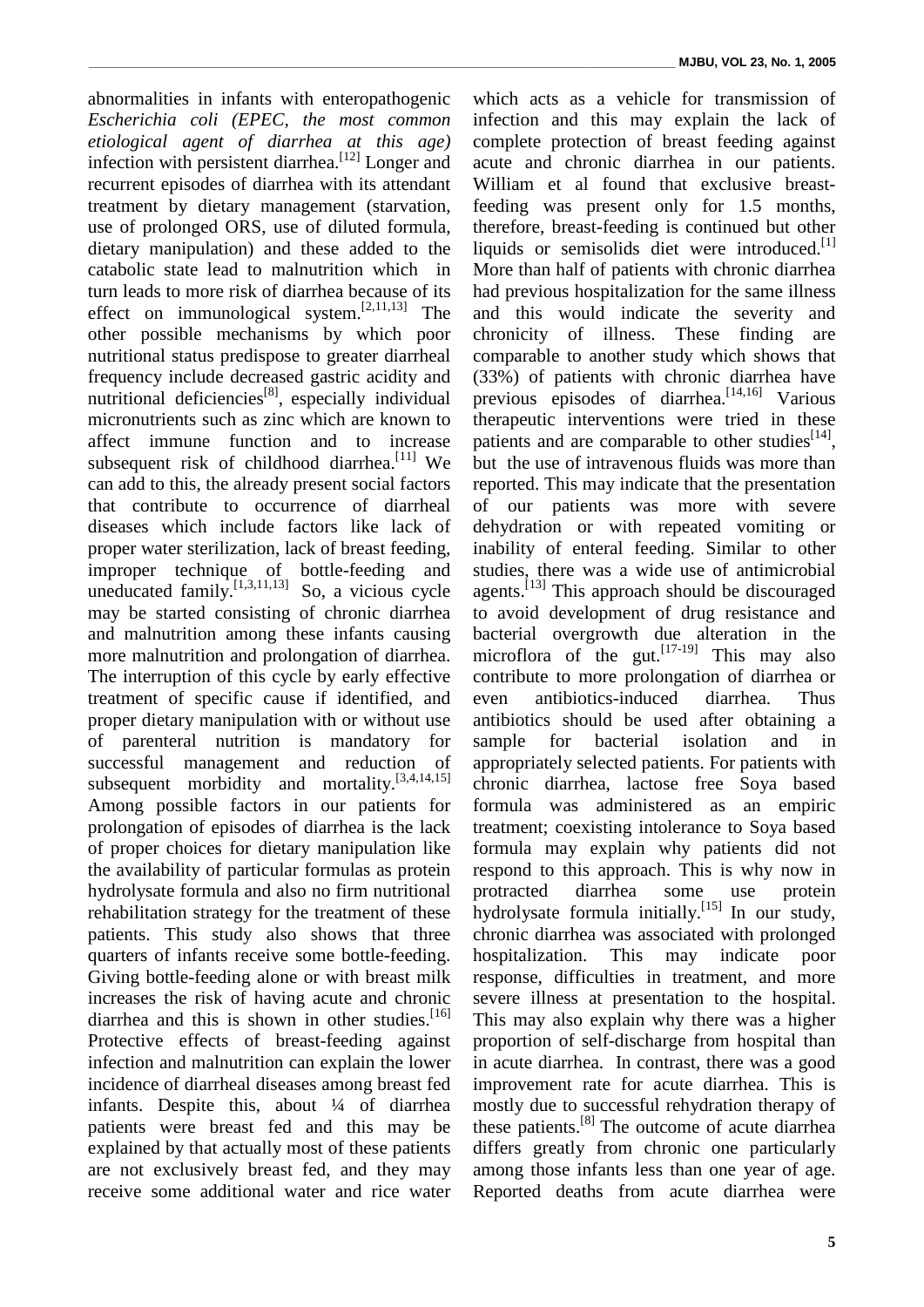abnormalities in infants with enteropathogenic *Escherichia coli (EPEC, the most common etiological agent of diarrhea at this age)* infection with persistent diarrhea.<sup>[12]</sup> Longer and recurrent episodes of diarrhea with its attendant treatment by dietary management (starvation, use of prolonged ORS, use of diluted formula, dietary manipulation) and these added to the catabolic state lead to malnutrition which in turn leads to more risk of diarrhea because of its effect on immunological system.<sup>[2,11,13]</sup> The other possible mechanisms by which poor nutritional status predispose to greater diarrheal frequency include decreased gastric acidity and nutritional deficiencies<sup>[8]</sup>, especially individual micronutrients such as zinc which are known to affect immune function and to increase subsequent risk of childhood diarrhea.<sup>[11]</sup> We can add to this, the already present social factors that contribute to occurrence of diarrheal diseases which include factors like lack of proper water sterilization, lack of breast feeding, improper technique of bottle-feeding and uneducated family.  $\left[1,3,11,13\right]$  So, a vicious cycle may be started consisting of chronic diarrhea and malnutrition among these infants causing more malnutrition and prolongation of diarrhea. The interruption of this cycle by early effective treatment of specific cause if identified, and proper dietary manipulation with or without use of parenteral nutrition is mandatory for successful management and reduction of subsequent morbidity and mortality.  $[3,4,14,15]$ Among possible factors in our patients for prolongation of episodes of diarrhea is the lack of proper choices for dietary manipulation like the availability of particular formulas as protein hydrolysate formula and also no firm nutritional rehabilitation strategy for the treatment of these patients. This study also shows that three quarters of infants receive some bottle-feeding. Giving bottle-feeding alone or with breast milk increases the risk of having acute and chronic diarrhea and this is shown in other studies.<sup>[16]</sup> Protective effects of breast-feeding against infection and malnutrition can explain the lower incidence of diarrheal diseases among breast fed infants. Despite this, about ¼ of diarrhea patients were breast fed and this may be explained by that actually most of these patients are not exclusively breast fed, and they may receive some additional water and rice water

which acts as a vehicle for transmission of infection and this may explain the lack of complete protection of breast feeding against acute and chronic diarrhea in our patients. William et al found that exclusive breastfeeding was present only for 1.5 months, therefore, breast-feeding is continued but other liquids or semisolids diet were introduced.<sup>[1]</sup> More than half of patients with chronic diarrhea had previous hospitalization for the same illness and this would indicate the severity and chronicity of illness. These finding are comparable to another study which shows that (33%) of patients with chronic diarrhea have previous episodes of diarrhea.<sup>[14,16]</sup> Various therapeutic interventions were tried in these patients and are comparable to other studies $^{[14]}$ , but the use of intravenous fluids was more than reported. This may indicate that the presentation of our patients was more with severe dehydration or with repeated vomiting or inability of enteral feeding. Similar to other studies, there was a wide use of antimicrobial agents.<sup>[13]</sup> This approach should be discouraged to avoid development of drug resistance and bacterial overgrowth due alteration in the microflora of the gut.  $[17-19]$  This may also contribute to more prolongation of diarrhea or even antibiotics-induced diarrhea. Thus antibiotics should be used after obtaining a sample for bacterial isolation and in appropriately selected patients. For patients with chronic diarrhea, lactose free Soya based formula was administered as an empiric treatment; coexisting intolerance to Soya based formula may explain why patients did not respond to this approach. This is why now in protracted diarrhea some use protein hydrolysate formula initially.<sup>[15]</sup> In our study, chronic diarrhea was associated with prolonged hospitalization. This may indicate poor response, difficulties in treatment, and more severe illness at presentation to the hospital. This may also explain why there was a higher proportion of self-discharge from hospital than in acute diarrhea. In contrast, there was a good improvement rate for acute diarrhea. This is mostly due to successful rehydration therapy of these patients.<sup>[8]</sup> The outcome of acute diarrhea differs greatly from chronic one particularly among those infants less than one year of age. Reported deaths from acute diarrhea were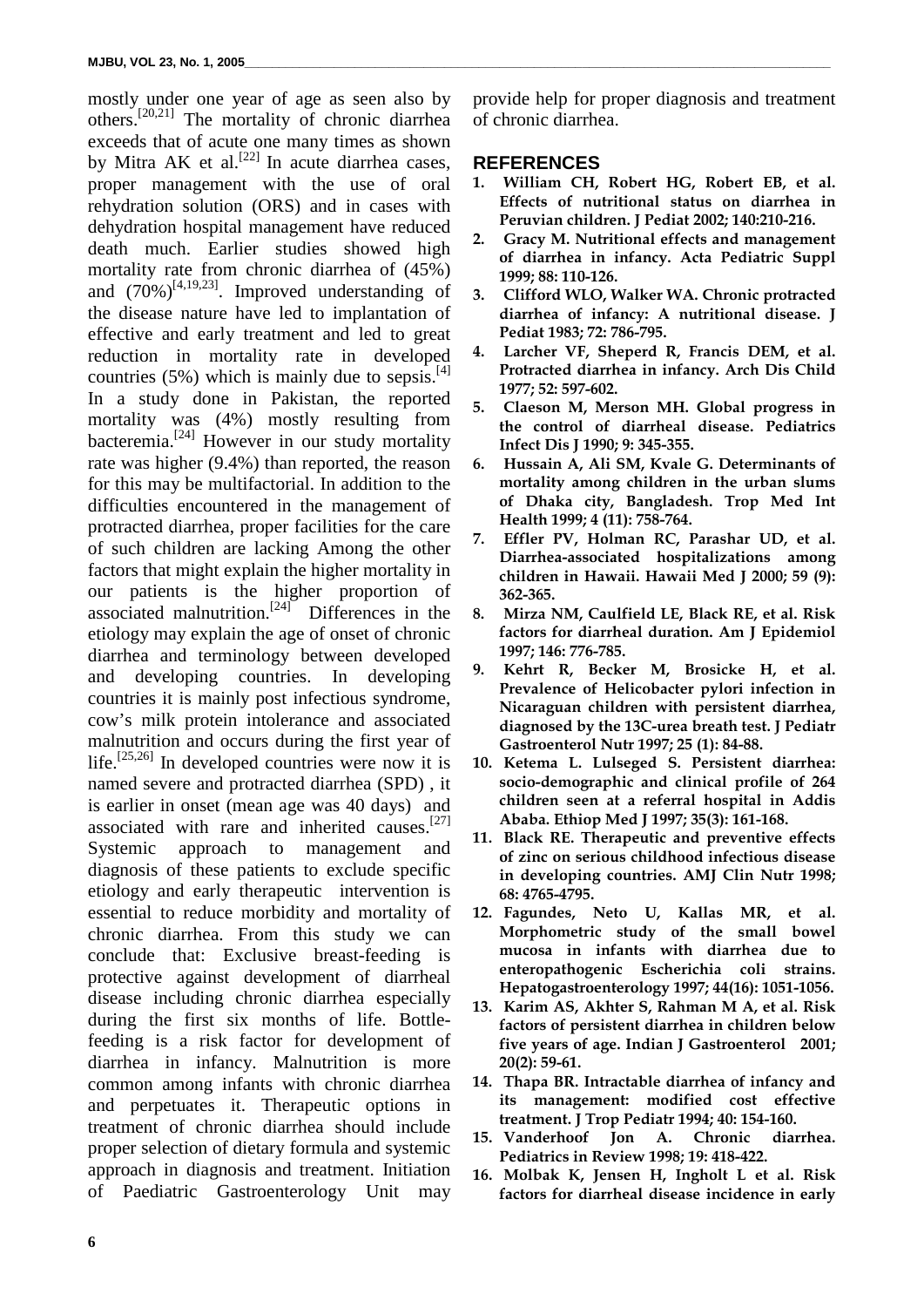mostly under one year of age as seen also by others. [20,21] The mortality of chronic diarrhea exceeds that of acute one many times as shown by Mitra AK et al.<sup>[22]</sup> In acute diarrhea cases, proper management with the use of oral rehydration solution (ORS) and in cases with dehydration hospital management have reduced death much. Earlier studies showed high mortality rate from chronic diarrhea of (45%) and  $(70\%)^{[4,19,23]}$ . Improved understanding of the disease nature have led to implantation of effective and early treatment and led to great reduction in mortality rate in developed countries  $(5\%)$  which is mainly due to sepsis.<sup>[4]</sup> In a study done in Pakistan, the reported mortality was (4%) mostly resulting from bacteremia.[24] However in our study mortality rate was higher (9.4%) than reported, the reason for this may be multifactorial. In addition to the difficulties encountered in the management of protracted diarrhea, proper facilities for the care of such children are lacking Among the other factors that might explain the higher mortality in our patients is the higher proportion of associated malnutrition.<sup>[24]</sup> Differences in the etiology may explain the age of onset of chronic diarrhea and terminology between developed and developing countries. In developing countries it is mainly post infectious syndrome, cow's milk protein intolerance and associated malnutrition and occurs during the first year of life.<sup>[25,26]</sup> In developed countries were now it is named severe and protracted diarrhea (SPD) , it is earlier in onset (mean age was 40 days) and associated with rare and inherited causes.<sup>[27]</sup> Systemic approach to management and diagnosis of these patients to exclude specific etiology and early therapeutic intervention is essential to reduce morbidity and mortality of chronic diarrhea. From this study we can conclude that: Exclusive breast-feeding is protective against development of diarrheal disease including chronic diarrhea especially during the first six months of life. Bottlefeeding is a risk factor for development of diarrhea in infancy. Malnutrition is more common among infants with chronic diarrhea and perpetuates it. Therapeutic options in treatment of chronic diarrhea should include proper selection of dietary formula and systemic approach in diagnosis and treatment. Initiation of Paediatric Gastroenterology Unit may

provide help for proper diagnosis and treatment of chronic diarrhea.

### **REFERENCES**

- **1. William CH, Robert HG, Robert EB, et al. Effects of nutritional status on diarrhea in Peruvian children. J Pediat 2002; 140:210-216.**
- **2. Gracy M. Nutritional effects and management of diarrhea in infancy. Acta Pediatric Suppl 1999; 88: 110-126.**
- **3. Clifford WLO, Walker WA. Chronic protracted diarrhea of infancy: A nutritional disease. J Pediat 1983; 72: 786-795.**
- **4. Larcher VF, Sheperd R, Francis DEM, et al. Protracted diarrhea in infancy. Arch Dis Child 1977; 52: 597-602.**
- **5. Claeson M, Merson MH. Global progress in the control of diarrheal disease. Pediatrics Infect Dis J 1990; 9: 345-355.**
- **6. Hussain A, Ali SM, Kvale G. Determinants of mortality among children in the urban slums of Dhaka city, Bangladesh. Trop Med Int Health 1999; 4 (11): 758-764.**
- **7. Effler PV, Holman RC, Parashar UD, et al. Diarrhea-associated hospitalizations among children in Hawaii. Hawaii Med J 2000; 59 (9): 362-365.**
- **8. Mirza NM, Caulfield LE, Black RE, et al. Risk factors for diarrheal duration. Am J Epidemiol 1997; 146: 776-785.**
- **9. Kehrt R, Becker M, Brosicke H, et al. Prevalence of Helicobacter pylori infection in Nicaraguan children with persistent diarrhea, diagnosed by the 13C-urea breath test. J Pediatr Gastroenterol Nutr 1997; 25 (1): 84-88.**
- **10. Ketema L. Lulseged S. Persistent diarrhea: socio-demographic and clinical profile of 264 children seen at a referral hospital in Addis Ababa. Ethiop Med J 1997; 35(3): 161-168.**
- **11. Black RE. Therapeutic and preventive effects of zinc on serious childhood infectious disease in developing countries. AMJ Clin Nutr 1998; 68: 4765-4795.**
- **12. Fagundes, Neto U, Kallas MR, et al. Morphometric study of the small bowel mucosa in infants with diarrhea due to enteropathogenic Escherichia coli strains. Hepatogastroenterology 1997; 44(16): 1051-1056.**
- **13. Karim AS, Akhter S, Rahman M A, et al. Risk factors of persistent diarrhea in children below five years of age. Indian J Gastroenterol 2001; 20(2): 59-61.**
- **14. Thapa BR. Intractable diarrhea of infancy and its management: modified cost effective treatment. J Trop Pediatr 1994; 40: 154-160.**
- **15. Vanderhoof Jon A. Chronic diarrhea. Pediatrics in Review 1998; 19: 418-422.**
- **16. Molbak K, Jensen H, Ingholt L et al. Risk factors for diarrheal disease incidence in early**